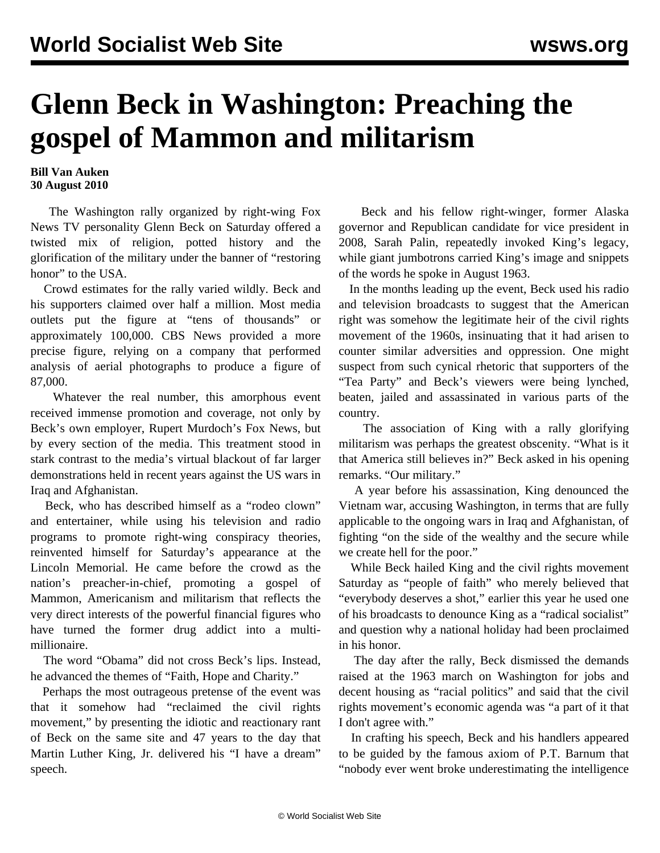## **Glenn Beck in Washington: Preaching the gospel of Mammon and militarism**

## **Bill Van Auken 30 August 2010**

 The Washington rally organized by right-wing Fox News TV personality Glenn Beck on Saturday offered a twisted mix of religion, potted history and the glorification of the military under the banner of "restoring honor" to the USA.

 Crowd estimates for the rally varied wildly. Beck and his supporters claimed over half a million. Most media outlets put the figure at "tens of thousands" or approximately 100,000. CBS News provided a more precise figure, relying on a company that performed analysis of aerial photographs to produce a figure of 87,000.

 Whatever the real number, this amorphous event received immense promotion and coverage, not only by Beck's own employer, Rupert Murdoch's Fox News, but by every section of the media. This treatment stood in stark contrast to the media's virtual blackout of far larger demonstrations held in recent years against the US wars in Iraq and Afghanistan.

 Beck, who has described himself as a "rodeo clown" and entertainer, while using his television and radio programs to promote right-wing conspiracy theories, reinvented himself for Saturday's appearance at the Lincoln Memorial. He came before the crowd as the nation's preacher-in-chief, promoting a gospel of Mammon, Americanism and militarism that reflects the very direct interests of the powerful financial figures who have turned the former drug addict into a multimillionaire.

 The word "Obama" did not cross Beck's lips. Instead, he advanced the themes of "Faith, Hope and Charity."

 Perhaps the most outrageous pretense of the event was that it somehow had "reclaimed the civil rights movement," by presenting the idiotic and reactionary rant of Beck on the same site and 47 years to the day that Martin Luther King, Jr. delivered his "I have a dream" speech.

 Beck and his fellow right-winger, former Alaska governor and Republican candidate for vice president in 2008, Sarah Palin, repeatedly invoked King's legacy, while giant jumbotrons carried King's image and snippets of the words he spoke in August 1963.

 In the months leading up the event, Beck used his radio and television broadcasts to suggest that the American right was somehow the legitimate heir of the civil rights movement of the 1960s, insinuating that it had arisen to counter similar adversities and oppression. One might suspect from such cynical rhetoric that supporters of the "Tea Party" and Beck's viewers were being lynched, beaten, jailed and assassinated in various parts of the country.

 The association of King with a rally glorifying militarism was perhaps the greatest obscenity. "What is it that America still believes in?" Beck asked in his opening remarks. "Our military."

 A year before his assassination, King denounced the Vietnam war, accusing Washington, in terms that are fully applicable to the ongoing wars in Iraq and Afghanistan, of fighting "on the side of the wealthy and the secure while we create hell for the poor."

 While Beck hailed King and the civil rights movement Saturday as "people of faith" who merely believed that "everybody deserves a shot," earlier this year he used one of his broadcasts to denounce King as a "radical socialist" and question why a national holiday had been proclaimed in his honor.

 The day after the rally, Beck dismissed the demands raised at the 1963 march on Washington for jobs and decent housing as "racial politics" and said that the civil rights movement's economic agenda was "a part of it that I don't agree with."

 In crafting his speech, Beck and his handlers appeared to be guided by the famous axiom of P.T. Barnum that "nobody ever went broke underestimating the intelligence